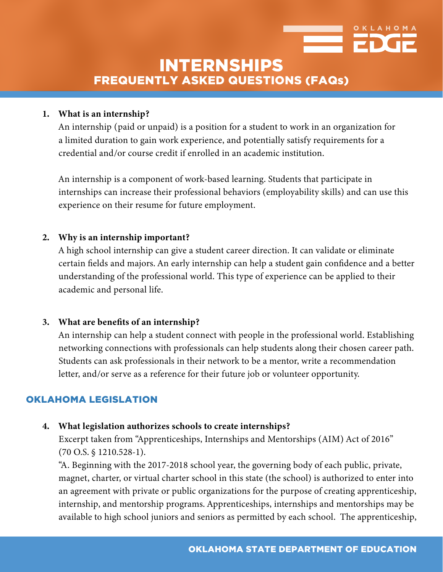

# INTERNSHIPS FREQUENTLY ASKED QUESTIONS (FAQs)

#### **1. What is an internship?**

An internship (paid or unpaid) is a position for a student to work in an organization for a limited duration to gain work experience, and potentially satisfy requirements for a credential and/or course credit if enrolled in an academic institution.

An internship is a component of work-based learning. Students that participate in internships can increase their professional behaviors (employability skills) and can use this experience on their resume for future employment.

#### **2. Why is an internship important?**

A high school internship can give a student career direction. It can validate or eliminate certain fields and majors. An early internship can help a student gain confidence and a better understanding of the professional world. This type of experience can be applied to their academic and personal life.

#### **3. What are benefits of an internship?**

An internship can help a student connect with people in the professional world. Establishing networking connections with professionals can help students along their chosen career path. Students can ask professionals in their network to be a mentor, write a recommendation letter, and/or serve as a reference for their future job or volunteer opportunity.

## OKLAHOMA LEGISLATION

## **4. What legislation authorizes schools to create internships?**

Excerpt taken from "Apprenticeships, Internships and Mentorships (AIM) Act of 2016" (70 O.S. § 1210.528-1).

"A. Beginning with the 2017-2018 school year, the governing body of each public, private, magnet, charter, or virtual charter school in this state (the school) is authorized to enter into an agreement with private or public organizations for the purpose of creating apprenticeship, internship, and mentorship programs. Apprenticeships, internships and mentorships may be available to high school juniors and seniors as permitted by each school. The apprenticeship,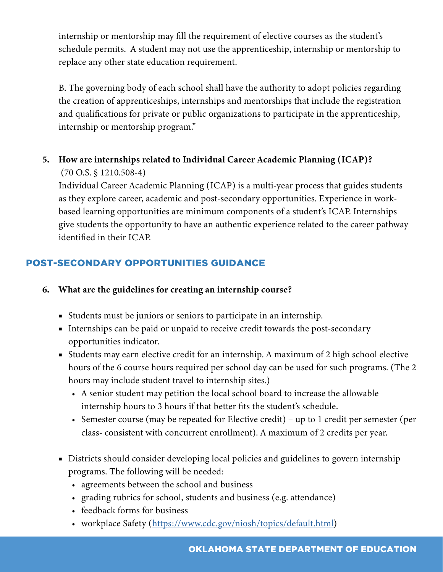internship or mentorship may fill the requirement of elective courses as the student's schedule permits. A student may not use the apprenticeship, internship or mentorship to replace any other state education requirement.

B. The governing body of each school shall have the authority to adopt policies regarding the creation of apprenticeships, internships and mentorships that include the registration and qualifications for private or public organizations to participate in the apprenticeship, internship or mentorship program."

# **5. How are internships related to Individual Career Academic Planning (ICAP)?** (70 O.S. § 1210.508-4)

Individual Career Academic Planning (ICAP) is a multi-year process that guides students as they explore career, academic and post-secondary opportunities. Experience in workbased learning opportunities are minimum components of a student's ICAP. Internships give students the opportunity to have an authentic experience related to the career pathway identified in their ICAP.

# POST-SECONDARY OPPORTUNITIES GUIDANCE

- **6. What are the guidelines for creating an internship course?** 
	- Students must be juniors or seniors to participate in an internship.
	- Internships can be paid or unpaid to receive credit towards the post-secondary opportunities indicator.
	- Students may earn elective credit for an internship. A maximum of 2 high school elective hours of the 6 course hours required per school day can be used for such programs. (The 2 hours may include student travel to internship sites.)
		- A senior student may petition the local school board to increase the allowable internship hours to 3 hours if that better fits the student's schedule.
		- Semester course (may be repeated for Elective credit) up to 1 credit per semester (per class- consistent with concurrent enrollment). A maximum of 2 credits per year.
	- Districts should consider developing local policies and guidelines to govern internship programs. The following will be needed:
		- agreements between the school and business
		- grading rubrics for school, students and business (e.g. attendance)
		- feedback forms for business
		- workplace Safety (<https://www.cdc.gov/niosh/topics/default.html>)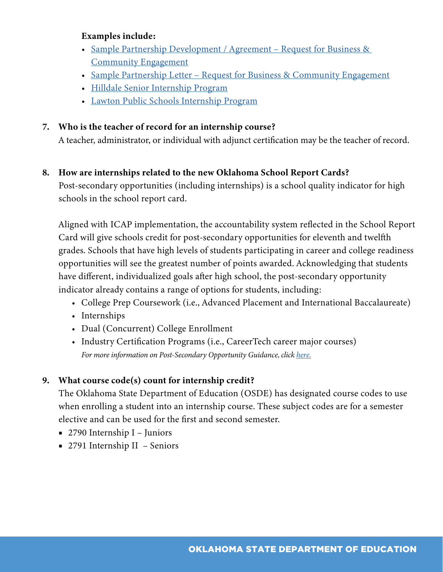#### **Examples include:**

- Sample Partnership Development / Agreement Request for Business & [Community Engagement](https://www.okedge.com/wp-content/uploads/2019/07/Sample-Partnership-Agreement-Request-for-Business-Community-Engagement.docx)
- [Sample Partnership Letter Request for Business & Community Engagement](https://www.okedge.com/wp-content/uploads/2019/07/Sample-Partnership-Letter-Request-for-Business-Community-Engagement.docx)
- [Hilldale Senior Internship Program](https://sde.ok.gov/sites/ok.gov.sde/files/documents/files/Hilldale%20Internship%20Packet.pdf)
- [Lawton Public Schools Internship Program](http://sde.ok.gov/sde/sites/ok.gov.sde/files/Internship%20Program%20Guidelines%20-%20Lawton%20LFS.pdf)

#### **7. Who is the teacher of record for an internship course?**

A teacher, administrator, or individual with adjunct certification may be the teacher of record.

#### **8. How are internships related to the new Oklahoma School Report Cards?**

Post-secondary opportunities (including internships) is a school quality indicator for high schools in the school report card.

Aligned with ICAP implementation, the accountability system reflected in the School Report Card will give schools credit for post-secondary opportunities for eleventh and twelfth grades. Schools that have high levels of students participating in career and college readiness opportunities will see the greatest number of points awarded. Acknowledging that students have different, individualized goals after high school, the post-secondary opportunity indicator already contains a range of options for students, including:

- College Prep Coursework (i.e., Advanced Placement and International Baccalaureate)
- Internships
- Dual (Concurrent) College Enrollment
- Industry Certification Programs (i.e., CareerTech career major courses) *For more information on Post-Secondary Opportunity Guidance, click [here.](https://sde.ok.gov/sites/default/files/documents/files/Postsecondary%20Opportunities%20Guide%202019.2.pdf)*

## **9. What course code(s) count for internship credit?**

The Oklahoma State Department of Education (OSDE) has designated course codes to use when enrolling a student into an internship course. These subject codes are for a semester elective and can be used for the first and second semester.

- 2790 Internship I Juniors
- 2791 Internship II Seniors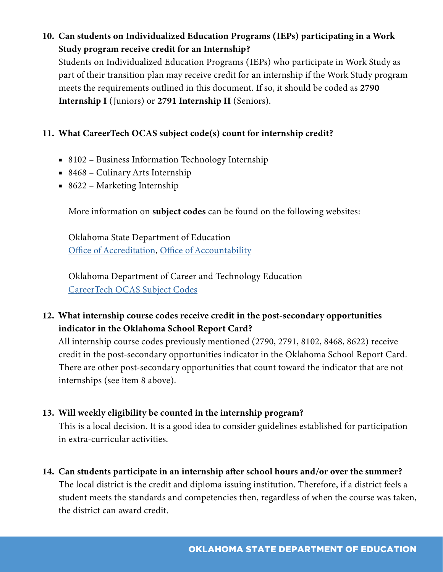# **10. Can students on Individualized Education Programs (IEPs) participating in a Work Study program receive credit for an Internship?**

Students on Individualized Education Programs (IEPs) who participate in Work Study as part of their transition plan may receive credit for an internship if the Work Study program meets the requirements outlined in this document. If so, it should be coded as **2790 Internship I** (Juniors) or **2791 Internship II** (Seniors).

# **11. What CareerTech OCAS subject code(s) count for internship credit?**

- 8102 Business Information Technology Internship
- 8468 Culinary Arts Internship
- 8622 Marketing Internship

More information on **subject codes** can be found on the following websites:

Oklahoma State Department of Education [Office of Accreditation](https://sde.ok.gov/accreditation-standards-division), [Office of Accountability](https://sde.ok.gov/accountability-assessments)

Oklahoma Department of Career and Technology Education [CareerTech OCAS Subject Codes](https://www.okcareertech.org/educators/ocas-codes)

# **12. What internship course codes receive credit in the post-secondary opportunities indicator in the Oklahoma School Report Card?**

All internship course codes previously mentioned (2790, 2791, 8102, 8468, 8622) receive credit in the post-secondary opportunities indicator in the Oklahoma School Report Card. There are other post-secondary opportunities that count toward the indicator that are not internships (see item 8 above).

## **13. Will weekly eligibility be counted in the internship program?**

This is a local decision. It is a good idea to consider guidelines established for participation in extra-curricular activities.

**14. Can students participate in an internship after school hours and/or over the summer?**

The local district is the credit and diploma issuing institution. Therefore, if a district feels a student meets the standards and competencies then, regardless of when the course was taken, the district can award credit.